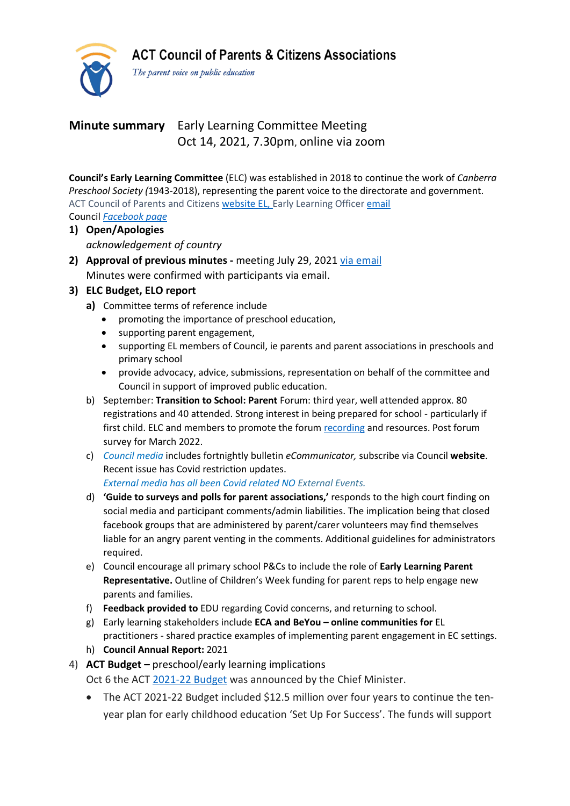**ACT Council of Parents & Citizens Associations** 



The parent voice on public education

# **Minute summary** Early Learning Committee Meeting Oct 14, 2021, 7.30pm, online via zoom

**Council's Early Learning Committee** (ELC) was established in 2018 to continue the work of *Canberra Preschool Society (*1943-2018), representing the parent voice to the directorate and government. ACT Council of Parents and Citizens [website](https://www.actparents.org.au/index.php/early-learning) EL, Early Learning Officer [email](mailto:earlylearning@actparents.org.au) Council *[Facebook](https://www.facebook.com/ACTParents) page*

- **1) Open/Apologies** *acknowledgement of country*
- **2) Approval of previous minutes -** meeting July 29, 2021 via [email](https://www.actparents.org.au/index.php/component/k2/item/394-early-learning-subcommittee-meeting-summaries?highlight=WyJtaW51dGVzIiwibWludXRlIiwibWludXRlZCJd) Minutes were confirmed with participants via email.

### **3) ELC Budget, ELO report**

- **a)** Committee terms of reference include
	- promoting the importance of preschool education,
	- supporting parent engagement,
	- supporting EL members of Council, ie parents and parent associations in preschools and primary school
	- provide advocacy, advice, submissions, representation on behalf of the committee and Council in support of improved public education.
- b) September: **Transition to School: Parent** Forum: third year, well attended approx. 80 registrations and 40 attended. Strong interest in being prepared for school - particularly if first child. ELC and members to promote the forum [recording](https://www.actparents.org.au/index.php/early-learning) and resources. Post forum survey for March 2022.
- c) *Council media* includes fortnightly bulletin *eCommunicator,* subscribe via Council **website**. Recent issue has Covid restriction updates.

*External media has all been Covid related NO External Events.*

- d) **'Guide to surveys and polls for parent associations,'** responds to the high court finding on social media and participant comments/admin liabilities. The implication being that closed facebook groups that are administered by parent/carer volunteers may find themselves liable for an angry parent venting in the comments. Additional guidelines for administrators required.
- e) Council encourage all primary school P&Cs to include the role of **Early Learning Parent Representative.** Outline of Children's Week funding for parent reps to help engage new parents and families.
- f) **Feedback provided to** EDU regarding Covid concerns, and returning to school.
- g) Early learning stakeholders include **ECA and BeYou – online communities for** EL practitioners - shared practice examples of implementing parent engagement in EC settings.
- h) **Council Annual Report:** 2021
- 4) **ACT Budget –** preschool/early learning implications Oct 6 the ACT [2021-22](http://ww2.earlychildhoodaustralia.org.au/e/870221/-support-equity-in-act-schools/bl968z/610731863?h=tr6O9syNrL_mqCm6kDCkfDgMeosXzolRWJqh4ZPepyY) Budget was announced by the Chief Minister.
	- The ACT 2021-22 Budget included \$12.5 million over four years to continue the tenyear plan for early childhood education 'Set Up For Success'. The funds will support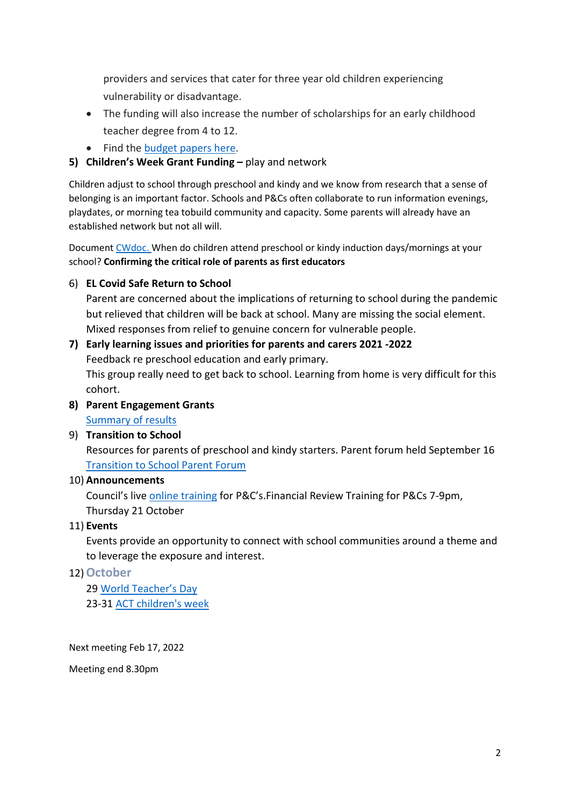providers and services that cater for three year old children experiencing vulnerability or disadvantage.

- The funding will also increase the number of scholarships for an early childhood teacher degree from 4 to 12.
- Find the [budget](http://ww2.earlychildhoodaustralia.org.au/e/870221/t-budget-2021-22-budget-papers/bl9692/610731863?h=tr6O9syNrL_mqCm6kDCkfDgMeosXzolRWJqh4ZPepyY) papers here.

# **5) Children's Week Grant Funding –** play and network

Children adjust to school through preschool and kindy and we know from research that a sense of belonging is an important factor. Schools and P&Cs often collaborate to run information evenings, playdates, or morning tea tobuild community and capacity. Some parents will already have an established network but not all will.

Document [CWdoc.](https://www.actparents.org.au/images/early-learning/ELC_MTGsummaries/2021_Childrens_Week_fund_.pdf) When do children attend preschool or kindy induction days/mornings at your school? **Confirming the critical role of parents as first educators**

# 6) **EL Covid Safe Return to School**

Parent are concerned about the implications of returning to school during the pandemic but relieved that children will be back at school. Many are missing the social element. Mixed responses from relief to genuine concern for vulnerable people.

### **7) Early learning issues and priorities for parents and carers 2021 -2022** Feedback re preschool education and early primary.

This group really need to get back to school. Learning from home is very difficult for this cohort.

**8) Parent Engagement Grants**

[Summary of results](https://www.education.act.gov.au/public-school-life/get-involved-in-your-childs-school/supporting-parent-engagement-grants-program)

9) **Transition to School** Resources for parents of preschool and kindy starters. Parent forum held September 16 [Transition](https://www.actparents.org.au/index.php/early-learning) to School Parent Forum

# 10) **Announcements**

Council's live online [training](https://www.actparents.org.au/index.php/help-for-p-cs/training#Grow) for P&C's.Financial Review Training for P&Cs 7-9pm, Thursday 21 October

# 11) **Events**

Events provide an opportunity to connect with school communities around a theme and to leverage the exposure and interest.

# 12)**October**

29 World [Teacher's](https://www.worldteachersday.edu.au/) Day 23-31 ACT [children's](http://actchildrensweek.org.au/) week

Next meeting Feb 17, 2022

Meeting end 8.30pm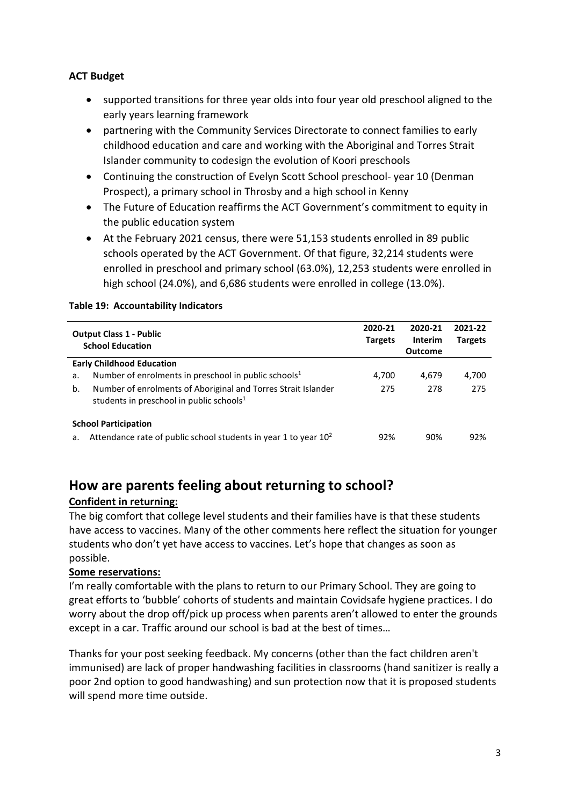### **ACT Budget**

- supported transitions for three year olds into four year old preschool aligned to the early years learning framework
- partnering with the Community Services Directorate to connect families to early childhood education and care and working with the Aboriginal and Torres Strait Islander community to codesign the evolution of Koori preschools
- Continuing the construction of Evelyn Scott School preschool- year 10 (Denman Prospect), a primary school in Throsby and a high school in Kenny
- The Future of Education reaffirms the ACT Government's commitment to equity in the public education system
- At the February 2021 census, there were 51,153 students enrolled in 89 public schools operated by the ACT Government. Of that figure, 32,214 students were enrolled in preschool and primary school (63.0%), 12,253 students were enrolled in high school (24.0%), and 6,686 students were enrolled in college (13.0%).

### **Table 19: Accountability Indicators**

|                                  | <b>Output Class 1 - Public</b><br><b>School Education</b>                                                    | 2020-21<br><b>Targets</b> | 2020-21<br><b>Interim</b><br><b>Outcome</b> | 2021-22<br><b>Targets</b> |
|----------------------------------|--------------------------------------------------------------------------------------------------------------|---------------------------|---------------------------------------------|---------------------------|
| <b>Early Childhood Education</b> |                                                                                                              |                           |                                             |                           |
| a.                               | Number of enrolments in preschool in public schools <sup>1</sup>                                             | 4,700                     | 4.679                                       | 4,700                     |
| b.                               | Number of enrolments of Aboriginal and Torres Strait Islander<br>students in preschool in public schools $1$ | 275                       | 278                                         | 275                       |
| <b>School Participation</b>      |                                                                                                              |                           |                                             |                           |
| a.                               | Attendance rate of public school students in year 1 to year $102$                                            | 92%                       | 90%                                         | 92%                       |

# **How are parents feeling about returning to school?**

### **Confident in returning:**

The big comfort that college level students and their families have is that these students have access to vaccines. Many of the other comments here reflect the situation for younger students who don't yet have access to vaccines. Let's hope that changes as soon as possible. 

#### **Some reservations:**

I'm really comfortable with the plans to return to our Primary School. They are going to great efforts to 'bubble' cohorts of students and maintain Covidsafe hygiene practices. I do worry about the drop off/pick up process when parents aren't allowed to enter the grounds except in a car. Traffic around our school is bad at the best of times… 

Thanks for your post seeking feedback. My concerns (other than the fact children aren't immunised) are lack of proper handwashing facilities in classrooms (hand sanitizer is really a poor 2nd option to good handwashing) and sun protection now that it is proposed students will spend more time outside.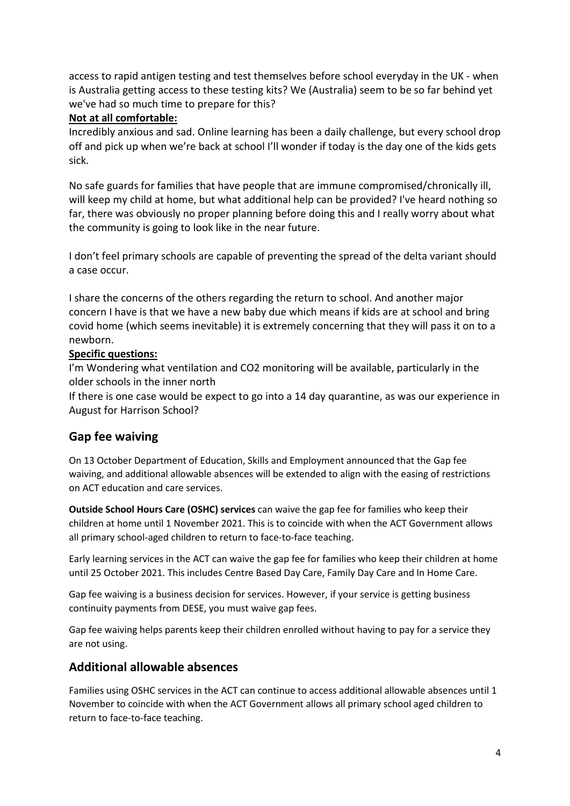access to rapid antigen testing and test themselves before school everyday in the UK - when is Australia getting access to these testing kits? We (Australia) seem to be so far behind yet we've had so much time to prepare for this? 

### **Not at all comfortable:**

Incredibly anxious and sad. Online learning has been a daily challenge, but every school drop off and pick up when we're back at school I'll wonder if today is the day one of the kids gets sick. 

No safe guards for families that have people that are immune compromised/chronically ill, will keep my child at home, but what additional help can be provided? I've heard nothing so far, there was obviously no proper planning before doing this and I really worry about what the community is going to look like in the near future. 

I don't feel primary schools are capable of preventing the spread of the delta variant should a case occur. 

I share the concerns of the others regarding the return to school. And another major concern I have is that we have a new baby due which means if kids are at school and bring covid home (which seems inevitable) it is extremely concerning that they will pass it on to a newborn. 

### **Specific questions:**

I'm Wondering what ventilation and CO2 monitoring will be available, particularly in the older schools in the inner north 

If there is one case would be expect to go into a 14 day quarantine, as was our experience in August for Harrison School? 

# **Gap fee waiving**

On 13 October Department of Education, Skills and Employment announced that the Gap fee waiving, and additional allowable absences will be extended to align with the easing of restrictions on ACT education and care services.

**Outside School Hours Care (OSHC) services** can waive the gap fee for families who keep their children at home until 1 November 2021. This is to coincide with when the ACT Government allows all primary school-aged children to return to face-to-face teaching.

Early learning services in the ACT can waive the gap fee for families who keep their children at home until 25 October 2021. This includes Centre Based Day Care, Family Day Care and In Home Care.

Gap fee waiving is a business decision for services. However, if your service is getting business continuity payments from DESE, you must waive gap fees.

Gap fee waiving helps parents keep their children enrolled without having to pay for a service they are not using.

# **Additional allowable absences**

Families using OSHC services in the ACT can continue to access additional allowable absences until 1 November to coincide with when the ACT Government allows all primary school aged children to return to face-to-face teaching.